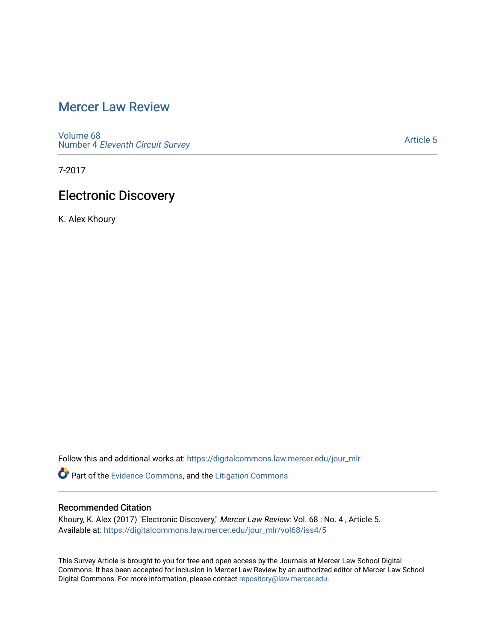# [Mercer Law Review](https://digitalcommons.law.mercer.edu/jour_mlr)

[Volume 68](https://digitalcommons.law.mercer.edu/jour_mlr/vol68) Number 4 [Eleventh Circuit Survey](https://digitalcommons.law.mercer.edu/jour_mlr/vol68/iss4) 

[Article 5](https://digitalcommons.law.mercer.edu/jour_mlr/vol68/iss4/5) 

7-2017

# Electronic Discovery

K. Alex Khoury

Follow this and additional works at: [https://digitalcommons.law.mercer.edu/jour\\_mlr](https://digitalcommons.law.mercer.edu/jour_mlr?utm_source=digitalcommons.law.mercer.edu%2Fjour_mlr%2Fvol68%2Fiss4%2F5&utm_medium=PDF&utm_campaign=PDFCoverPages)

Part of the [Evidence Commons,](http://network.bepress.com/hgg/discipline/601?utm_source=digitalcommons.law.mercer.edu%2Fjour_mlr%2Fvol68%2Fiss4%2F5&utm_medium=PDF&utm_campaign=PDFCoverPages) and the [Litigation Commons](http://network.bepress.com/hgg/discipline/910?utm_source=digitalcommons.law.mercer.edu%2Fjour_mlr%2Fvol68%2Fiss4%2F5&utm_medium=PDF&utm_campaign=PDFCoverPages) 

## Recommended Citation

Khoury, K. Alex (2017) "Electronic Discovery," Mercer Law Review: Vol. 68 : No. 4 , Article 5. Available at: [https://digitalcommons.law.mercer.edu/jour\\_mlr/vol68/iss4/5](https://digitalcommons.law.mercer.edu/jour_mlr/vol68/iss4/5?utm_source=digitalcommons.law.mercer.edu%2Fjour_mlr%2Fvol68%2Fiss4%2F5&utm_medium=PDF&utm_campaign=PDFCoverPages)

This Survey Article is brought to you for free and open access by the Journals at Mercer Law School Digital Commons. It has been accepted for inclusion in Mercer Law Review by an authorized editor of Mercer Law School Digital Commons. For more information, please contact [repository@law.mercer.edu](mailto:repository@law.mercer.edu).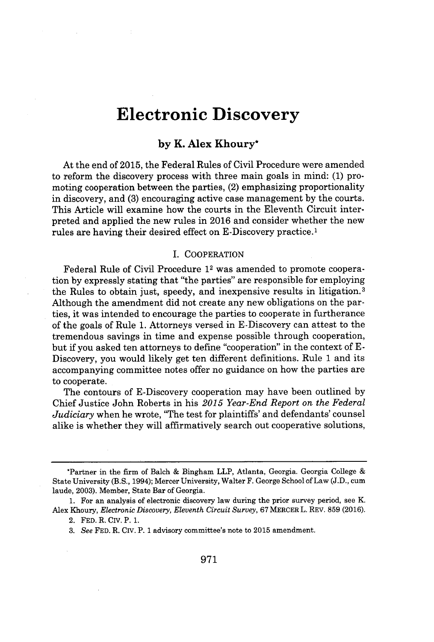# **Electronic Discovery**

### **by K. Alex Khoury\***

At the end of **2015,** the Federal Rules of Civil Procedure were amended to reform the discovery process with three main goals in mind: **(1)** promoting cooperation between the parties, (2) emphasizing proportionality in discovery, and **(3)** encouraging active case management **by** the courts. This Article will examine how the courts in the Eleventh Circuit interpreted and applied the new rules in **2016** and consider whether the new rules are having their desired effect on E-Discovery practice.<sup>1</sup>

#### **I.** COOPERATION

Federal Rule of Civil Procedure 12 was amended to promote cooperation **by** expressly stating that "the parties" are responsible for employing the Rules to obtain just, speedy, and inexpensive results in litigation. <sup>3</sup> Although the amendment did not create any new obligations on the parties, it was intended to encourage the parties to cooperate in furtherance of the goals of Rule **1.** Attorneys versed in E-Discovery can attest to the tremendous savings in time and expense possible through cooperation, but if you asked ten attorneys to define "cooperation" in the context of **E-**Discovery, you would likely get ten different definitions. Rule **1** and its accompanying committee notes offer no guidance on how the parties are to cooperate.

The contours of E-Discovery cooperation may have been outlined **by** Chief Justice John Roberts in his *2015 Year-End Report on the Federal Judiciary* when he wrote, 'The test for plaintiffs' and defendants' counsel alike is whether they will affirmatively search out cooperative solutions,

<sup>\*</sup>Partner in the firm of Balch **&** Bingham LLP, Atlanta, Georgia. Georgia College State University **(B.S.,** 1994); Mercer University, Walter F. George School of Law **(J.D.,** cum laude, **2003).** Member, State Bar of Georgia.

**<sup>1.</sup>** For an analysis of electronic discovery law during the prior survey period, see K. Alex Khoury, *Electronic Discovery, Eleventh Circuit Survey,* **67 MERCER** L. REV. **859 (2016).**

<sup>2.</sup> **FED.** R. Civ. P. **1.**

*<sup>3.</sup> See* **FED.** R. Civ. P. **1** advisory committee's note to **2015** amendment.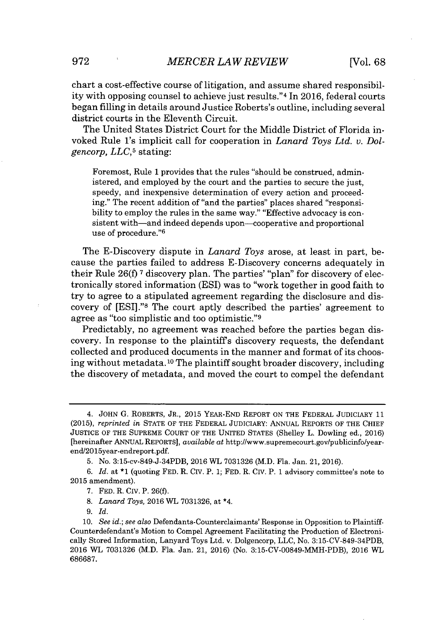chart a cost-effective course of litigation, and assume shared responsibility with opposing counsel to achieve just results." <sup>4</sup>In **2016,** federal courts began filling in details around Justice Roberts's outline, including several district courts in the Eleventh Circuit.

The United States District Court for the Middle District of Florida invoked Rule 1's implicit call for cooperation in *Lanard Toys Ltd. v. Dolgencorp, LLC,5* stating:

Foremost, Rule **1** provides that the rules "should be construed, administered, and employed **by** the court and the parties to secure the just, speedy, and inexpensive determination of every action and proceeding." The recent addition of "and the parties" places shared "responsibility to employ the rules in the same way." "Effective advocacy is consistent with—and indeed depends upon—cooperative and proportional use of procedure."<sup>6</sup>

The E-Discovery dispute in *Lanard Toys* arose, at least in part, because the parties failed to address E-Discovery concerns adequately in their Rule **26(f) 7** discovery plan. The parties' "plan" for discovery of electronically stored information **(ESI)** was to "work together in good faith to try to agree to a stipulated agreement regarding the disclosure and discovery of [ESI]."8 The court aptly described the parties' agreement to agree as "too simplistic and too optimistic."<sup>9</sup>

Predictably, no agreement was reached before the parties began discovery. In response to the plaintiffs discovery requests, the defendant collected and produced documents in the manner and format of its choosing without metadata.<sup>10</sup> The plaintiff sought broader discovery, including the discovery of metadata, and moved the court to compel the defendant

- **8.** *Lanard Toys,* **2016** WL **7031326,** at \*4.
- *9. Id.*

<sup>4.</sup> **JOHN G.** ROBERTS, JR., **2015** YEAR-END REPORT **ON** THE FEDERAL JUDICIARY **11 (2015),** *reprinted in* **STATE** OF THE FEDERAL JUDICIARY: ANNUAL REPORTS OF THE CHIEF **JUSTICE** OF THE **SUPREME COURT** OF THE UNITED **STATES** (Shelley L. Dowling ed., **2016)** [hereinafter ANNUAL REPORTS], *available at* http://www.supremecourt.gov/publicinfo/yearend/2015year-endreport.pdf.

**<sup>5.</sup>** No. 3:15-cv-849-J-34PDB, **2016** WL **7031326** (M.D. Fla. Jan. 21, **2016).**

**<sup>6.</sup>** *Id.* at **\*1** (quoting **FED.** R. CIv. P. **1; FED.** R. **CIv.** P. **1** advisory committee's note to **2015** amendment).

**<sup>7.</sup> FED.** R. CIv. P. **26(f).**

*<sup>10.</sup> See id.; see also* Defendants-Counterclaimants' Response in Opposition to Plaintiff-Counterdefendant's Motion to Compel Agreement Facilitating the Production of Electronically Stored Information, Lanyard Toys Ltd. v. Dolgencorp, **LLC,** No. 3:15-CV-849-34PDB, **2016** WL **7031326** (M.D. Fla. Jan. 21, **2016)** (No. 3:15-CV-00849-MMH-PDB), **2016** *WL* **686687.**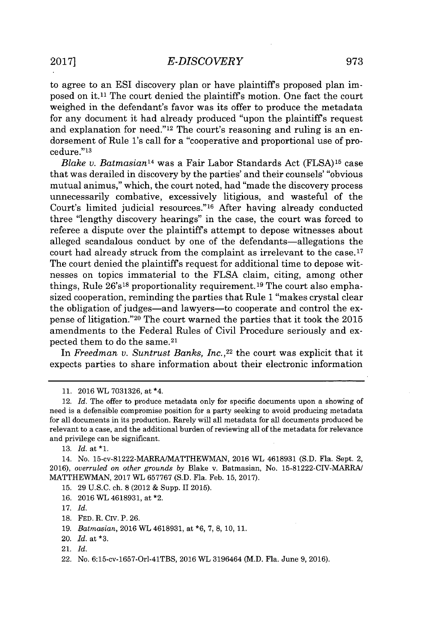to agree to an ESI discovery plan or have plaintiffs proposed plan imposed on it.<sup>11</sup> The court denied the plaintiff's motion. One fact the court weighed in the defendant's favor was its offer to produce the metadata for any document it had already produced "upon the plaintiffs request and explanation for need."12 The court's reasoning and ruling is an endorsement of Rule 1's call for a "cooperative and proportional use of procedure." <sup>13</sup>

*Blake* **v.** *Batmasianl<sup>4</sup>*was a Fair Labor Standards Act **(FLSA)1** case that was derailed in discovery **by** the parties' and their counsels' "obvious mutual animus," which, the court noted, had "made the discovery process unnecessarily combative, excessively litigious, and wasteful of the Court's limited judicial resources."<sup>16</sup> After having already conducted three 'lengthy discovery hearings" in the case, the court was forced to referee a dispute over the plaintiffs attempt to depose witnesses about alleged scandalous conduct **by** one of the defendants-allegations the court had already struck from the complaint as irrelevant to the case.17 The court denied the plaintiffs request for additional time to depose witnesses on topics immaterial to the **FLSA** claim, citing, among other things, Rule  $26's^{18}$  proportionality requirement.<sup>19</sup> The court also emphasized cooperation, reminding the parties that Rule **1** "makes crystal clear the obligation of judges-and lawyers-to cooperate and control the expense of litigation." <sup>20</sup>The court warned the parties that it took the **2015** amendments to the Federal Rules of Civil Procedure seriously and expected them to do the same.<sup>21</sup>

In *Freedman v. Suntrust Banks, Inc.*,<sup>22</sup> the court was explicit that it expects parties to share information about their electronic information

- **16. 2016** WL **4618931,** at \*2.
- **17.** *Id.*
- **18. FED.** R. CIV. P. **26.**
- **19.** *Batmasian,* **2016** WL **4618931,** at **\*6, 7, 8, 10, 11.**
- 20. *Id.* at **\*3.**
- 21. *Id.*

**<sup>11. 2016</sup>** WL **7031326,** at \*4.

<sup>12.</sup> *Id.* The offer to produce metadata only for specific documents upon a showing of need is *a* defensible compromise position for a party seeking to avoid producing metadata *for* all documents in its production. Rarely will all metadata for all documents produced be relevant to a case, and the additional burden of reviewing all of the metadata for relevance and privilege can be significant.

**<sup>13.</sup>** *Id.* at **\*1.**

<sup>14.</sup> No. 15-cv-81222-MARRAIMATTHEWMAN, **2016** WL **4618931 (S.D.** Fla. Sept. 2, **2016),** *overruled on other grounds by* Blake v. Batmasian, No. 15-81222-CIV-MARRA/ MATTHEWMAN, **2017** WL **657767 (S.D.** Fla. Feb. **15, 2017).**

**<sup>15. 29</sup> U.S.C.** ch. **8** (2012 **&** Supp. II **2015).**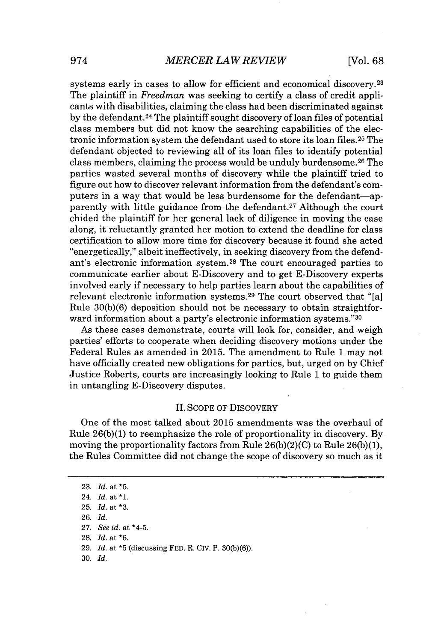systems early in cases to allow for efficient and economical discovery.<sup>23</sup> The plaintiff in *Freedman* was seeking to certify a class of credit applicants with disabilities, claiming the class had been discriminated against **by** the defendant.<sup>24</sup>The plaintiff sought discovery of loan files of potential class members but did not know the searching capabilities of the electronic information system the defendant used to store its loan files.<sup>25</sup> The defendant objected to reviewing all of its loan files to identify potential class members, claiming the process would be unduly burdensome.<sup>26</sup> The parties wasted several months of discovery while the plaintiff tried to figure out how to discover relevant information from the defendant's computers in a way that would be less burdensome for the defendant-apparently with little guidance from the defendant.<sup>27</sup> Although the court chided the plaintiff for her general lack of diligence in moving the case along, it reluctantly granted her motion to extend the deadline for class certification to allow more time for discovery because it found she acted "energetically," albeit ineffectively, in seeking discovery from the defendant's electronic information system.<sup>28</sup> The court encouraged parties to communicate earlier about E-Discovery and to get E-Discovery experts involved early if necessary to help parties learn about the capabilities of relevant electronic information systems.<sup>29</sup> The court observed that "[a] Rule **30(b)(6)** deposition should not be necessary to obtain straightforward information about a party's electronic information systems."<sup>30</sup>

As these cases demonstrate, courts will look for, consider, and weigh parties' efforts to cooperate when deciding discovery motions under the Federal Rules as amended in **2015.** The amendment to Rule **1** may not have officially created new obligations for parties, but, urged on **by** Chief Justice Roberts, courts are increasingly looking to Rule **1** to guide them in untangling E-Discovery disputes.

### **II. SCOPE** OF DISCOVERY

One of the most talked about **2015** amendments was the overhaul of Rule **26(b)(1)** to reemphasize the role of proportionality in discovery. **By** moving the proportionality factors from Rule **26(b)(2)(C)** to Rule **26(b)(1),** the Rules Committee did not change the scope of discovery so much as it

- **28.** *Id. at \*6.*
- **29.** *Id. at* **\*5** (discussing **FED.** R. CIv. P. **30(b)(6)).**
- **30.** *Id.*

**<sup>23.</sup>** *Id. at* **\*5.**

<sup>24.</sup> *Id. at* **\*1.**

**<sup>25.</sup>** *Id. at* **\*3.**

**<sup>26.</sup>** *Id.*

**<sup>27.</sup>** *See id. at* \*4-5.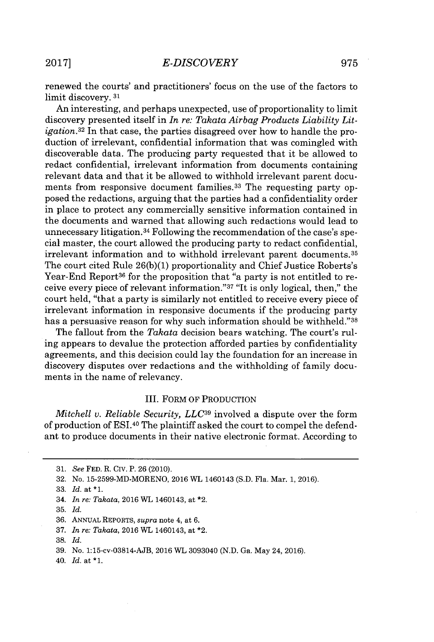renewed the courts' and practitioners' focus on the use of the factors to limit discovery. **<sup>31</sup>**

An interesting, and perhaps unexpected, use of proportionality to limit discovery presented itself in *In re: Takata Airbag Products Liability Litigation.32* In that case, the parties disagreed over how to handle the production of irrelevant, confidential information that was comingled with discoverable data. The producing party requested that it be allowed to redact confidential, irrelevant information from documents containing relevant data and that it be allowed to withhold irrelevant parent documents from responsive document families.<sup>33</sup> The requesting party opposed the redactions, arguing that the parties had a confidentiality order in place to protect any commercially sensitive information contained in the documents and warned that allowing such redactions would lead to unnecessary litigation.34 Following the recommendation of the case's special master, the court allowed the producing party to redact confidential, irrelevant information and to withhold irrelevant parent documents. <sup>35</sup> The court cited Rule **26(b)(1)** proportionality and Chief Justice Roberts's Year-End Report<sup>36</sup> for the proposition that "a party is not entitled to receive every piece of relevant information."<sup>37</sup>"It **is** only logical, then," the court held, "that a party is similarly not entitled to receive every piece of irrelevant information in responsive documents if the producing party has a persuasive reason for why such information should be withheld."38

The fallout from the *Takata* decision bears watching. The court's ruling appears to devalue the protection afforded parties **by** confidentiality agreements, and this decision could lay the foundation for an increase in discovery disputes over redactions and the withholding of family documents in the name of relevancy.

### III. FORM OF PRODUCTION

*Mitchell v. Reliable Security, LLC39* involved a dispute over the form of production of ESI.40 The plaintiff asked the court to compel the defendant to produce documents in their native electronic format. According to

**39.** No. 1:15-cv-03814-AJB, **2016** WL 3093040 **(N.D.** Ga. May 24, **2016).**

40. *Id.* at **\*1.**

**<sup>31.</sup>** *See* **FED.** R. Civ. P. **26** (2010).

**<sup>32.</sup>** No. **15-2599-MD-MORENO, 2016** WL 1460143 **(S.D.** Fla. Mar. **1, 2016).**

**<sup>33.</sup>** *Id.* at **\*1.**

<sup>34.</sup> *In re: Takata,* **2016** WL 1460143, at \*2.

**<sup>35.</sup>** *Id.*

**<sup>36.</sup>** ANNuAL REPORTS, *supra* note 4, at **6.**

**<sup>37.</sup>** *In re: Takata,* **2016** WL 1460143, at \*2.

**<sup>38.</sup>** *Id.*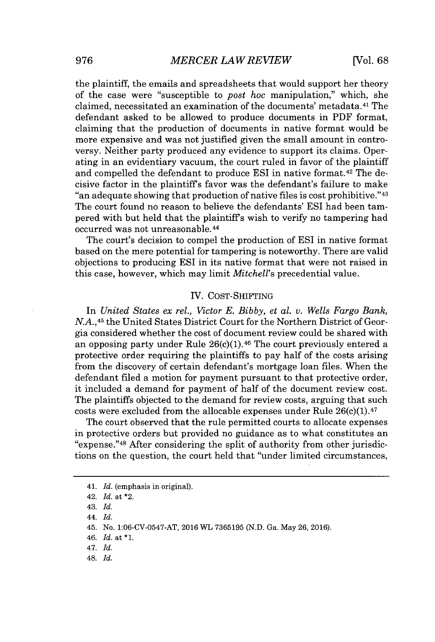the plaintiff, the emails and spreadsheets that would support her theory of the case were "susceptible to *post hoc* manipulation," which, she claimed, necessitated an examination of the documents' metadata.<sup>41</sup> The defendant asked to be allowed to produce documents in PDF format, claiming that the production of documents in native format would be more expensive and was not justified given the small amount in controversy. Neither party produced any evidence to support its claims. Operating in an evidentiary vacuum, the court ruled in favor of the plaintiff and compelled the defendant to produce ESI in native format.<sup>42</sup> The decisive factor in the plaintiffs favor was the defendant's failure to make "an adequate showing that production of native files is cost prohibitive." <sup>43</sup> The court found no reason to believe the defendants' **ESI** had been tampered with but held that the plaintiffs wish to verify no tampering had occurred was not unreasonable.<sup>4</sup>

The court's decision to compel the production of **ESI** in native format based on the mere potential for tampering is noteworthy. There are valid objections to producing ESI in its native format that were not raised in this case, however, which may limit *Mitchell's* precedential value.

#### IV. COST-SHIFTING

In *United States ex rel., Victor E. Bibby, et al. v. Wells Fargo Bank,* **N.A.,45** the United States District Court for the Northern District of Georgia considered whether the cost of document review could be shared with an opposing party under Rule  $26(c)(1)$ .<sup>46</sup> The court previously entered a protective order requiring the plaintiffs to pay half of the costs arising from the discovery of certain defendant's mortgage loan files. When the defendant filed a motion for payment pursuant to that protective order, it included a demand for payment of half of the document review cost. The plaintiffs objected to the demand for review costs, arguing that such costs were excluded from the allocable expenses under Rule  $26(c)(1).47$ 

The court observed that the rule permitted courts to allocate expenses in protective orders but provided no guidance as to what constitutes an "expense."4<sup>8</sup>After considering the split of authority from other jurisdictions on the question, the court held that "under limited circumstances,

43. *Id.*

*48. Id.*

<sup>41.</sup> *Id.* (emphasis in original).

<sup>42.</sup> *Id.* at \*2.

*<sup>44.</sup> Id.*

<sup>45.</sup> No. **1:06-CV-0547-AT, 2016** WL **7365195 (N.D.** Ga. May **26, 2016).**

*<sup>46.</sup> Id.* at **\*1.**

*<sup>47.</sup> Id.*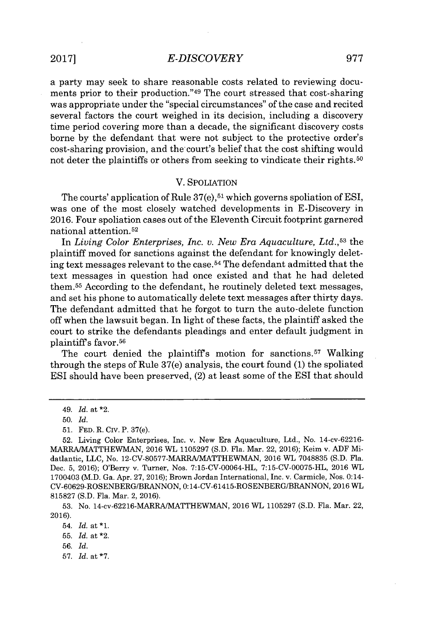## *E-DISCOVERY* **2017] 977**

a party may seek to share reasonable costs related to reviewing documents prior to their production."<sup>49</sup> The court stressed that cost-sharing was appropriate under the "special circumstances" of the case and recited several factors the court weighed in its decision, including a discovery time period covering more than a decade, the significant discovery costs borne **by** the defendant that were not subject to the protective order's cost-sharing provision, and the court's belief that the cost shifting would not deter the plaintiffs or others from seeking to vindicate their rights.<sup>50</sup>

### V. SPOLIATION

The courts' application of Rule  $37(e)$ ,  $51$  which governs spoliation of ESI, was one of the most closely watched developments in E-Discovery in **2016.** Four spoliation cases out of the Eleventh Circuit footprint garnered national attention.<sup>52</sup>

In *Living Color Enterprises, Inc. v. New Era Aquaculture, Ltd.*,<sup>53</sup> the plaintiff moved for sanctions against the defendant for knowingly deleting text messages relevant to the case. <sup>54</sup>The defendant admitted that the text messages in question had once existed and that he had deleted them.<sup>55</sup> According to the defendant, he routinely deleted text messages, and set his phone to automatically delete text messages after thirty days. The defendant admitted that he forgot to turn the auto-delete function off when the lawsuit began. In light of these facts, the plaintiff asked the court to strike the defendants pleadings and enter default judgment in plaintiff's favor.<sup>56</sup>

The court denied the plaintiff's motion for sanctions.<sup>57</sup> Walking through the steps of Rule 37(e) analysis, the court found **(1)** the spoliated ESI should have been preserved, (2) at least some of the ESI that should

**57.** *Id.* at **\*7.**

*<sup>49.</sup> Id.* at \*2.

**<sup>50.</sup>** *Id.*

**<sup>51.</sup> FED.** R. Civ. P. 37(e).

**<sup>52.</sup>** Living Color Enterprises, Inc. v. New Era Aquaculture, Ltd., No. 14-cv-62216- MARRAIMATTHEWMAN, **2016** WL **1105297 (S.D.** Fla. Mar. 22, **2016);** Keim v. **ADF** Midatlantic, **LLC,** No. **12-CV-80577-MARRA/MATTHEWMAN, 2016 WL 7048835 (S.D.** Fla. Dec. **5, 2016);** O'Berry v. Turner, Nos. **7:15-CV-00064-HL, 7:15-CV-00075-HL, 2016** WL 1700403 (M.D. Ga. Apr. **27, 2016);** Brown Jordan International, Inc. v. Carmicle, Nos. 0:14- **CV-60629-ROSENBERG/BRANNON, 0:** 14-CV-61415-ROSENBERG/BRANNON, **2016** *WL* **815827 (S.D.** Fla. Mar. 2, **2016).**

**<sup>53.</sup>** No. 14-cv-62216-MARRA/MATTHEWMAN, **2016** WL **1105297 (S.D.** Fla. Mar. 22, **2016).**

<sup>54.</sup> *Id.* at **\*1.**

**<sup>55.</sup>** *Id.* at \*2.

**<sup>56.</sup>** *Id.*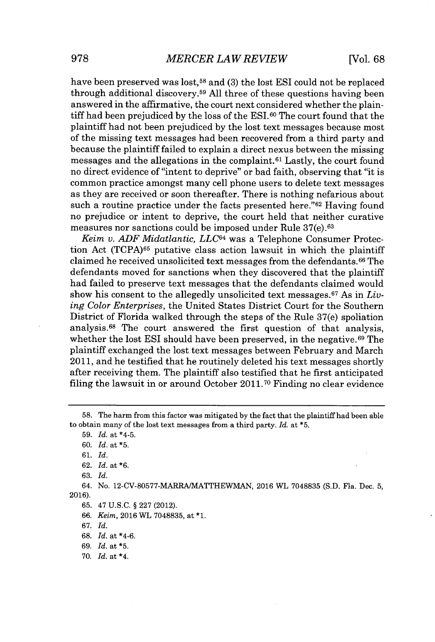have been preserved was lost,<sup>58</sup> and (3) the lost **ESI** could not be replaced through additional discovery.<sup>59</sup>**All** three of these questions having been answered in the affirmative, the court next considered whether the plaintiff had been prejudiced **by** the loss of the ESI.60 The court found that the plaintiff had not been prejudiced **by** the lost text messages because most of the missing text messages had been recovered from a third party and because the plaintiff failed to explain a direct nexus between the missing messages and the allegations in the complaint.<sup>61</sup>Lastly, the court found no direct evidence of "intent to deprive" or bad faith, observing that "it is common practice amongst many cell phone users to delete text messages as they are received or soon thereafter. There is nothing nefarious about such a routine practice under the facts presented here."<sup>62</sup> Having found no prejudice or intent to deprive, the court held that neither curative measures nor sanctions could be imposed under Rule 37(e). <sup>63</sup>

*Keim v. ADF Midatlantic, LLC64* was a Telephone Consumer Protection Act **(TCPA)65** putative class action lawsuit in which the plaintiff claimed he received unsolicited text messages from the defendants.<sup>66</sup> The defendants moved for sanctions when they discovered that the plaintiff had failed to preserve text messages that the defendants claimed would show his consent to the allegedly unsolicited text messages.67 As in *Living Color Enterprises,* the United States District Court for the Southern District of Florida walked through the steps of the Rule 37(e) spoliation analysis.<sup>68</sup> The court answered the first question of that analysis. whether the lost ESI should have been preserved, in the negative.<sup>69</sup> The plaintiff exchanged the lost text messages between February and March **2011,** and he testified that he routinely deleted his text messages shortly after receiving them. The plaintiff also testified that he first anticipated filing the lawsuit in or around October **2011.70** Finding no clear evidence

*67. Id.*

**70.** *Id.* at \*4.

**<sup>58.</sup>** The harm from this factor was mitigated **by** the fact that the plaintiff had been able to obtain many of the lost text messages from a third party. *Id.* at **\*5.**

**<sup>59.</sup>** *Id.* at \*4-5.

**<sup>60.</sup>** *Id.* at **\*5.**

**<sup>61.</sup>** *Id.*

**<sup>62.</sup>** *Id.* at **\*6.**

**<sup>63.</sup>** *Id.*

<sup>64.</sup> No. **12-CV-80577-MARRA/MATTHEWMAN, 2016** WL **7048835 (S.D.** Fla. Dec. **5, 2016).**

**<sup>65.</sup>** 47 **U.S.C. § 227** (2012).

**<sup>66.</sup>** *Keim,* **2016** WL **7048835,** at **\*1.**

**<sup>68.</sup>** *Id.* at \*4-6.

*<sup>69.</sup> Id.* at **\*5.**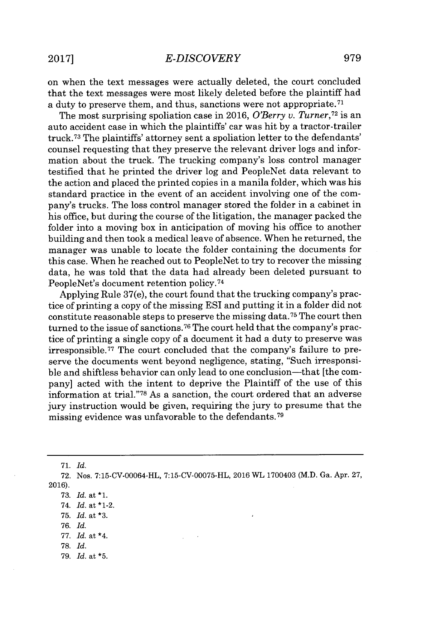on when the text messages were actually deleted, the court concluded that the text messages were most likely deleted before the plaintiff had a duty to preserve them, and thus, sanctions were not appropriate. <sup>71</sup>

The most surprising spoliation case in **2016,** *O'Berry v. Turner,<sup>72</sup>*is an auto accident case in which the plaintiffs' car was hit **by** a tractor-trailer truck.<sup>73</sup>The plaintiffs' attorney sent a spoliation letter to the defendants' counsel requesting that they preserve the relevant driver logs and information about the truck. The trucking company's loss control manager testified that he printed the driver log and PeopleNet data relevant to the action and placed the printed copies in a manila folder, which was his standard practice in the event of an accident involving one of the company's trucks. The loss control manager stored the folder in a cabinet in his office, but during the course of the litigation, the manager packed the folder into a moving box in anticipation of moving his office to another building and then took a medical leave of absence. When he returned, the manager was unable to locate the folder containing the documents for this case. When he reached out to PeopleNet to try to recover the missing data, he was told that the data had already been deleted pursuant to PeopleNet's document retention **policy. <sup>74</sup>**

Applying Rule 37(e), the court found that the trucking company's practice of printing a copy of the missing ESI and putting it in a folder did not constitute reasonable steps to preserve the missing data.<sup>75</sup> The court then turned to the issue of sanctions.76 The court held that the company's practice of printing a single copy of a document it had a duty to preserve was irresponsible.<sup>77</sup> The court concluded that the company's failure to preserve the documents went beyond negligence, stating, "Such irresponsible and shiftless behavior can only lead to one conclusion-that [the company] acted with the intent to deprive the Plaintiff of the use of this information at trial."<sup>78</sup> As a sanction, the court ordered that an adverse jury instruction would be given, requiring the jury to presume that the missing evidence was unfavorable to the defendants.<sup>79</sup>

**71.** *Id.*

- **77.** *Id.* at \*4.
- **78.** *Id.*
- **79.** *Id.* at **\*5.**

**<sup>72.</sup>** Nos. **7:15-CV-00064-HL, 7:15-CV-00075-HL, 2016** WL 1700403 (M.D. Ga. Apr. **27, 2016).**

**<sup>73.</sup>** *Id.* at **\*1.**

<sup>74.</sup> *Id.* at \*1-2.

**<sup>75.</sup>** *Id.* at **\*3.**

*<sup>76.</sup> Id.*